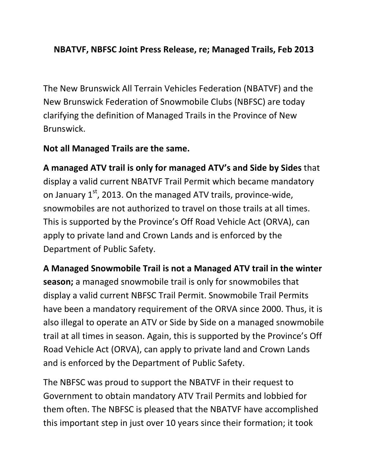## NBATVF, NBFSC Joint Press Release, re; Managed Trails, Feb 2013

The New Brunswick All Terrain Vehicles Federation (NBATVF) and the New Brunswick Federation of Snowmobile Clubs (NBFSC) are today clarifying the definition of Managed Trails in the Province of New Brunswick.

## Not all Managed Trails are the same.

A managed ATV trail is only for managed ATV's and Side by Sides that display a valid current NBATVF Trail Permit which became mandatory on January  $1<sup>st</sup>$ , 2013. On the managed ATV trails, province-wide, snowmobiles are not authorized to travel on those trails at all times. This is supported by the Province's Off Road Vehicle Act (ORVA), can apply to private land and Crown Lands and is enforced by the Department of Public Safety.

A Managed Snowmobile Trail is not a Managed ATV trail in the winter season; a managed snowmobile trail is only for snowmobiles that display a valid current NBFSC Trail Permit. Snowmobile Trail Permits have been a mandatory requirement of the ORVA since 2000. Thus, it is also illegal to operate an ATV or Side by Side on a managed snowmobile trail at all times in season. Again, this is supported by the Province's Off Road Vehicle Act (ORVA), can apply to private land and Crown Lands and is enforced by the Department of Public Safety.

The NBFSC was proud to support the NBATVF in their request to Government to obtain mandatory ATV Trail Permits and lobbied for them often. The NBFSC is pleased that the NBATVF have accomplished this important step in just over 10 years since their formation; it took